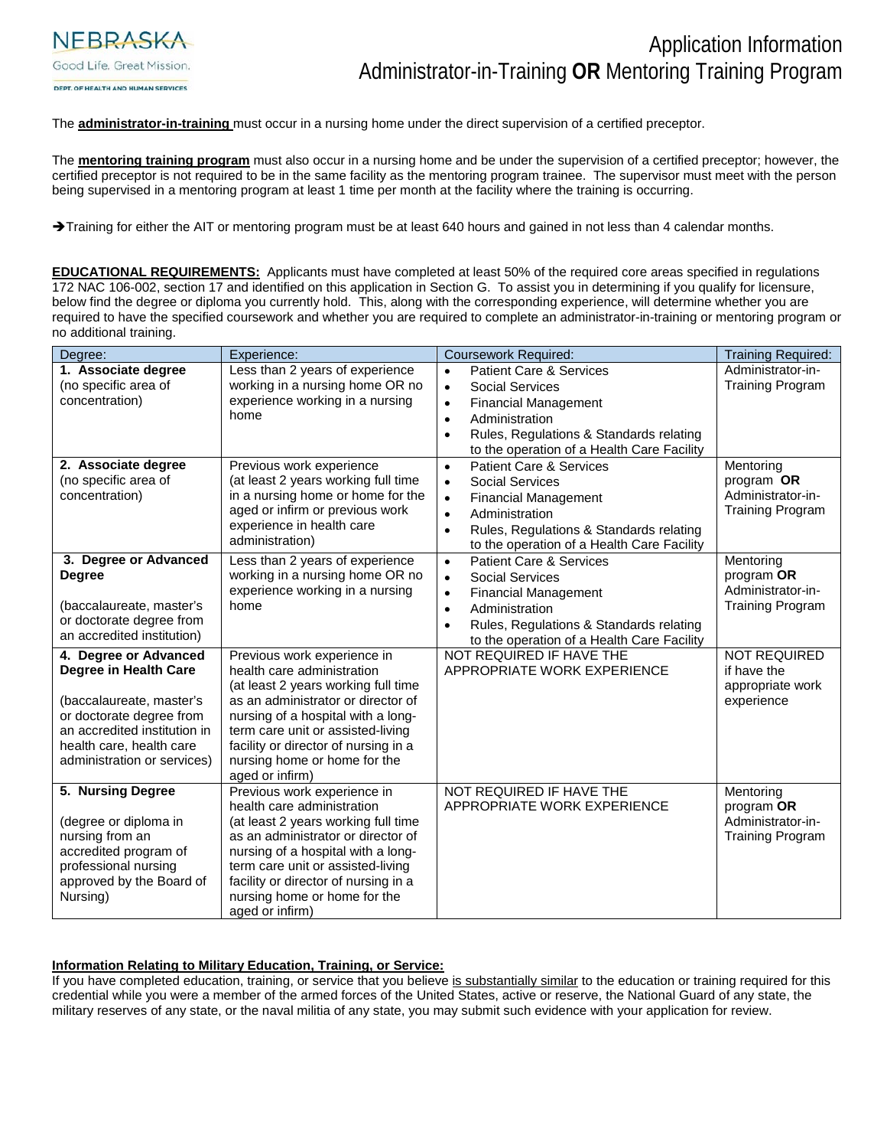

The **administrator-in-training** must occur in a nursing home under the direct supervision of a certified preceptor.

The **mentoring training program** must also occur in a nursing home and be under the supervision of a certified preceptor; however, the certified preceptor is not required to be in the same facility as the mentoring program trainee. The supervisor must meet with the person being supervised in a mentoring program at least 1 time per month at the facility where the training is occurring.

Training for either the AIT or mentoring program must be at least 640 hours and gained in not less than 4 calendar months.

**EDUCATIONAL REQUIREMENTS:** Applicants must have completed at least 50% of the required core areas specified in regulations 172 NAC 106-002, section 17 and identified on this application in Section G. To assist you in determining if you qualify for licensure, below find the degree or diploma you currently hold. This, along with the corresponding experience, will determine whether you are required to have the specified coursework and whether you are required to complete an administrator-in-training or mentoring program or no additional training.

| Degree:                      | Experience:                                    | <b>Coursework Required:</b>                          | <b>Training Required:</b> |
|------------------------------|------------------------------------------------|------------------------------------------------------|---------------------------|
| 1. Associate degree          | Less than 2 years of experience                | <b>Patient Care &amp; Services</b><br>$\bullet$      | Administrator-in-         |
| (no specific area of         | working in a nursing home OR no                | Social Services<br>$\bullet$                         | <b>Training Program</b>   |
| concentration)               | experience working in a nursing                | <b>Financial Management</b><br>$\bullet$             |                           |
|                              | home                                           | Administration<br>$\bullet$                          |                           |
|                              |                                                | Rules, Regulations & Standards relating<br>$\bullet$ |                           |
|                              |                                                | to the operation of a Health Care Facility           |                           |
| 2. Associate degree          | Previous work experience                       | <b>Patient Care &amp; Services</b><br>$\bullet$      | Mentoring                 |
| (no specific area of         | (at least 2 years working full time            | Social Services<br>$\bullet$                         | program OR                |
| concentration)               | in a nursing home or home for the              | <b>Financial Management</b><br>$\bullet$             | Administrator-in-         |
|                              | aged or infirm or previous work                | Administration<br>$\bullet$                          | <b>Training Program</b>   |
|                              | experience in health care                      | Rules, Regulations & Standards relating<br>$\bullet$ |                           |
|                              | administration)                                | to the operation of a Health Care Facility           |                           |
| 3. Degree or Advanced        | Less than 2 years of experience                | <b>Patient Care &amp; Services</b><br>$\bullet$      | Mentoring                 |
| <b>Degree</b>                | working in a nursing home OR no                | <b>Social Services</b><br>$\bullet$                  | program OR                |
|                              | experience working in a nursing                | <b>Financial Management</b><br>$\bullet$             | Administrator-in-         |
| (baccalaureate, master's     | home                                           | Administration<br>$\bullet$                          | <b>Training Program</b>   |
| or doctorate degree from     |                                                | Rules, Regulations & Standards relating<br>$\bullet$ |                           |
| an accredited institution)   |                                                | to the operation of a Health Care Facility           |                           |
| 4. Degree or Advanced        | Previous work experience in                    | NOT REQUIRED IF HAVE THE                             | <b>NOT REQUIRED</b>       |
| Degree in Health Care        | health care administration                     | APPROPRIATE WORK EXPERIENCE                          | if have the               |
|                              | (at least 2 years working full time            |                                                      | appropriate work          |
| (baccalaureate, master's     | as an administrator or director of             |                                                      | experience                |
| or doctorate degree from     | nursing of a hospital with a long-             |                                                      |                           |
| an accredited institution in | term care unit or assisted-living              |                                                      |                           |
| health care, health care     | facility or director of nursing in a           |                                                      |                           |
| administration or services)  | nursing home or home for the                   |                                                      |                           |
| 5. Nursing Degree            | aged or infirm)<br>Previous work experience in | NOT REQUIRED IF HAVE THE                             | Mentoring                 |
|                              | health care administration                     | APPROPRIATE WORK EXPERIENCE                          | program OR                |
| (degree or diploma in        | (at least 2 years working full time            |                                                      | Administrator-in-         |
| nursing from an              | as an administrator or director of             |                                                      | <b>Training Program</b>   |
| accredited program of        | nursing of a hospital with a long-             |                                                      |                           |
| professional nursing         | term care unit or assisted-living              |                                                      |                           |
| approved by the Board of     | facility or director of nursing in a           |                                                      |                           |
| Nursing)                     | nursing home or home for the                   |                                                      |                           |
|                              | aged or infirm)                                |                                                      |                           |

#### **Information Relating to Military Education, Training, or Service:**

If you have completed education, training, or service that you believe is substantially similar to the education or training required for this credential while you were a member of the armed forces of the United States, active or reserve, the National Guard of any state, the military reserves of any state, or the naval militia of any state, you may submit such evidence with your application for review.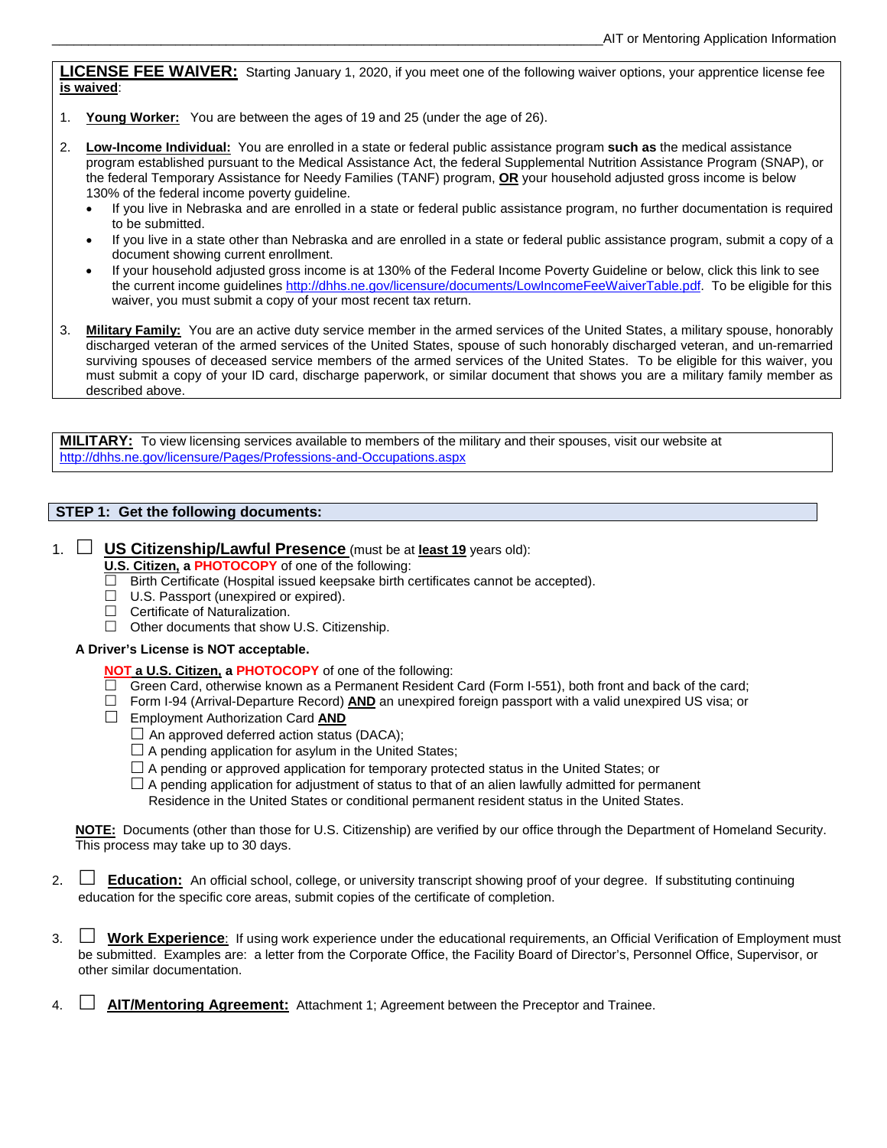**LICENSE FEE WAIVER:** Starting January 1, 2020, if you meet one of the following waiver options, your apprentice license fee **is waived**:

- 1. **Young Worker:** You are between the ages of 19 and 25 (under the age of 26).
- 2. **Low-Income Individual:** You are enrolled in a state or federal public assistance program **such as** the medical assistance program established pursuant to the Medical Assistance Act, the federal Supplemental Nutrition Assistance Program (SNAP), or the federal Temporary Assistance for Needy Families (TANF) program, **OR** your household adjusted gross income is below 130% of the federal income poverty guideline.
	- If you live in Nebraska and are enrolled in a state or federal public assistance program, no further documentation is required to be submitted.
	- If you live in a state other than Nebraska and are enrolled in a state or federal public assistance program, submit a copy of a document showing current enrollment.
	- If your household adjusted gross income is at 130% of the Federal Income Poverty Guideline or below, click this link to see the current income guideline[s http://dhhs.ne.gov/licensure/documents/LowIncomeFeeWaiverTable.pdf.](http://dhhs.ne.gov/licensure/documents/LowIncomeFeeWaiverTable.pdf) To be eligible for this waiver, you must submit a copy of your most recent tax return.
- 3. **Military Family:** You are an active duty service member in the armed services of the United States, a military spouse, honorably discharged veteran of the armed services of the United States, spouse of such honorably discharged veteran, and un-remarried surviving spouses of deceased service members of the armed services of the United States. To be eligible for this waiver, you must submit a copy of your ID card, discharge paperwork, or similar document that shows you are a military family member as described above.

**MILITARY:** To view licensing services available to members of the military and their spouses, visit our website at <http://dhhs.ne.gov/licensure/Pages/Professions-and-Occupations.aspx>

## **STEP 1: Get the following documents:**

# 1. **US Citizenship/Lawful Presence** (must be at **least 19** years old):

- **U.S. Citizen, a PHOTOCOPY** of one of the following:
- $\Box$  Birth Certificate (Hospital issued keepsake birth certificates cannot be accepted).
- $\Box$  U.S. Passport (unexpired or expired).
- $\Box$  Certificate of Naturalization.
- $\Box$  Other documents that show U.S. Citizenship.

#### **A Driver's License is NOT acceptable.**

## **NOT a U.S. Citizen, a PHOTOCOPY** of one of the following:

- $\Box$  Green Card, otherwise known as a Permanent Resident Card (Form I-551), both front and back of the card;
- Form I-94 (Arrival-Departure Record) **AND** an unexpired foreign passport with a valid unexpired US visa; or
- Employment Authorization Card **AND** 
	- $\Box$  An approved deferred action status (DACA);
	- $\Box$  A pending application for asylum in the United States;
	- $\Box$  A pending or approved application for temporary protected status in the United States; or
	- $\Box$  A pending application for adjustment of status to that of an alien lawfully admitted for permanent
		- Residence in the United States or conditional permanent resident status in the United States.

**NOTE:** Documents (other than those for U.S. Citizenship) are verified by our office through the Department of Homeland Security. This process may take up to 30 days.

- 2. **Education:** An official school, college, or university transcript showing proof of your degree. If substituting continuing education for the specific core areas, submit copies of the certificate of completion.
- 3. **Work Experience**: If using work experience under the educational requirements, an Official Verification of Employment must be submitted. Examples are: a letter from the Corporate Office, the Facility Board of Director's, Personnel Office, Supervisor, or other similar documentation.
- 4. **AIT/Mentoring Agreement:** Attachment 1; Agreement between the Preceptor and Trainee.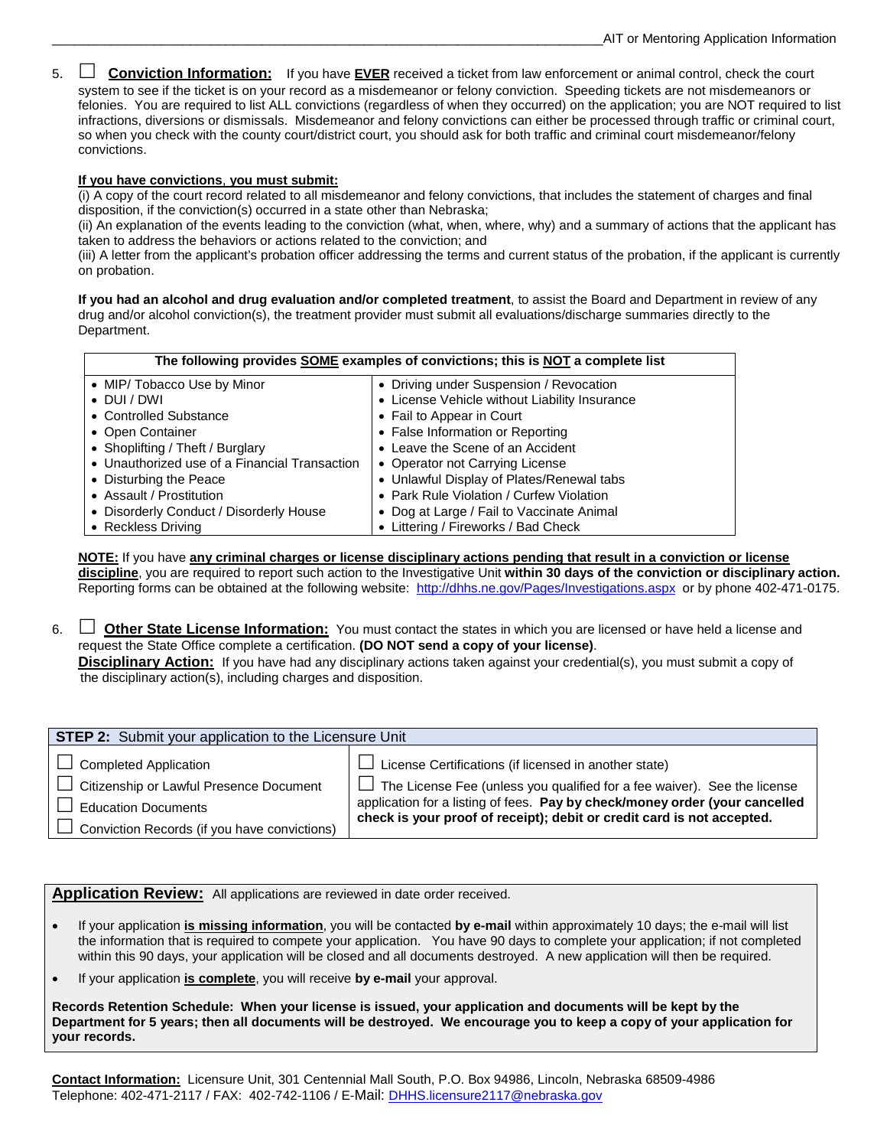5.  **Conviction Information:** If you have **EVER** received a ticket from law enforcement or animal control, check the court system to see if the ticket is on your record as a misdemeanor or felony conviction. Speeding tickets are not misdemeanors or felonies. You are required to list ALL convictions (regardless of when they occurred) on the application; you are NOT required to list infractions, diversions or dismissals. Misdemeanor and felony convictions can either be processed through traffic or criminal court, so when you check with the county court/district court, you should ask for both traffic and criminal court misdemeanor/felony convictions.

#### **If you have convictions**, **you must submit:**

(i) A copy of the court record related to all misdemeanor and felony convictions, that includes the statement of charges and final disposition, if the conviction(s) occurred in a state other than Nebraska;

(ii) An explanation of the events leading to the conviction (what, when, where, why) and a summary of actions that the applicant has taken to address the behaviors or actions related to the conviction; and

(iii) A letter from the applicant's probation officer addressing the terms and current status of the probation, if the applicant is currently on probation.

**If you had an alcohol and drug evaluation and/or completed treatment**, to assist the Board and Department in review of any drug and/or alcohol conviction(s), the treatment provider must submit all evaluations/discharge summaries directly to the Department.

| The following provides <b>SOME</b> examples of convictions; this is <b>NOT</b> a complete list |                                               |  |  |  |
|------------------------------------------------------------------------------------------------|-----------------------------------------------|--|--|--|
| • MIP/ Tobacco Use by Minor                                                                    | • Driving under Suspension / Revocation       |  |  |  |
| $\bullet$ DUI/DWI                                                                              | • License Vehicle without Liability Insurance |  |  |  |
| • Controlled Substance                                                                         | • Fail to Appear in Court                     |  |  |  |
| • Open Container                                                                               | • False Information or Reporting              |  |  |  |
| • Shoplifting / Theft / Burglary                                                               | • Leave the Scene of an Accident              |  |  |  |
| • Unauthorized use of a Financial Transaction                                                  | • Operator not Carrying License               |  |  |  |
| • Disturbing the Peace                                                                         | • Unlawful Display of Plates/Renewal tabs     |  |  |  |
| • Assault / Prostitution                                                                       | • Park Rule Violation / Curfew Violation      |  |  |  |
| • Disorderly Conduct / Disorderly House                                                        | • Dog at Large / Fail to Vaccinate Animal     |  |  |  |
| • Reckless Driving                                                                             | • Littering / Fireworks / Bad Check           |  |  |  |

**NOTE:** If you have **any criminal charges or license disciplinary actions pending that result in a conviction or license discipline**, you are required to report such action to the Investigative Unit **within 30 days of the conviction or disciplinary action.**  Reporting forms can be obtained at the following website:<http://dhhs.ne.gov/Pages/Investigations.aspx>or by phone 402-471-0175.

6. **ID Other State License Information:** You must contact the states in which you are licensed or have held a license and request the State Office complete a certification. **(DO NOT send a copy of your license)**. **Disciplinary Action:** If you have had any disciplinary actions taken against your credential(s), you must submit a copy of

the disciplinary action(s), including charges and disposition.

| STEP 2: Submit your application to the Licensure Unit |                                                                                 |  |  |  |  |
|-------------------------------------------------------|---------------------------------------------------------------------------------|--|--|--|--|
| $\Box$ Completed Application                          | $\Box$ License Certifications (if licensed in another state)                    |  |  |  |  |
| Citizenship or Lawful Presence Document               | $\Box$ The License Fee (unless you qualified for a fee waiver). See the license |  |  |  |  |
| $\Box$ Education Documents                            | application for a listing of fees. Pay by check/money order (your cancelled     |  |  |  |  |
| $\Box$ Conviction Records (if you have convictions)   | check is your proof of receipt); debit or credit card is not accepted.          |  |  |  |  |

**Application Review:** All applications are reviewed in date order received.

- If your application **is missing information**, you will be contacted **by e-mail** within approximately 10 days; the e-mail will list the information that is required to compete your application. You have 90 days to complete your application; if not completed within this 90 days, your application will be closed and all documents destroyed. A new application will then be required.
- If your application **is complete**, you will receive **by e-mail** your approval.

**Records Retention Schedule: When your license is issued, your application and documents will be kept by the Department for 5 years; then all documents will be destroyed. We encourage you to keep a copy of your application for your records.**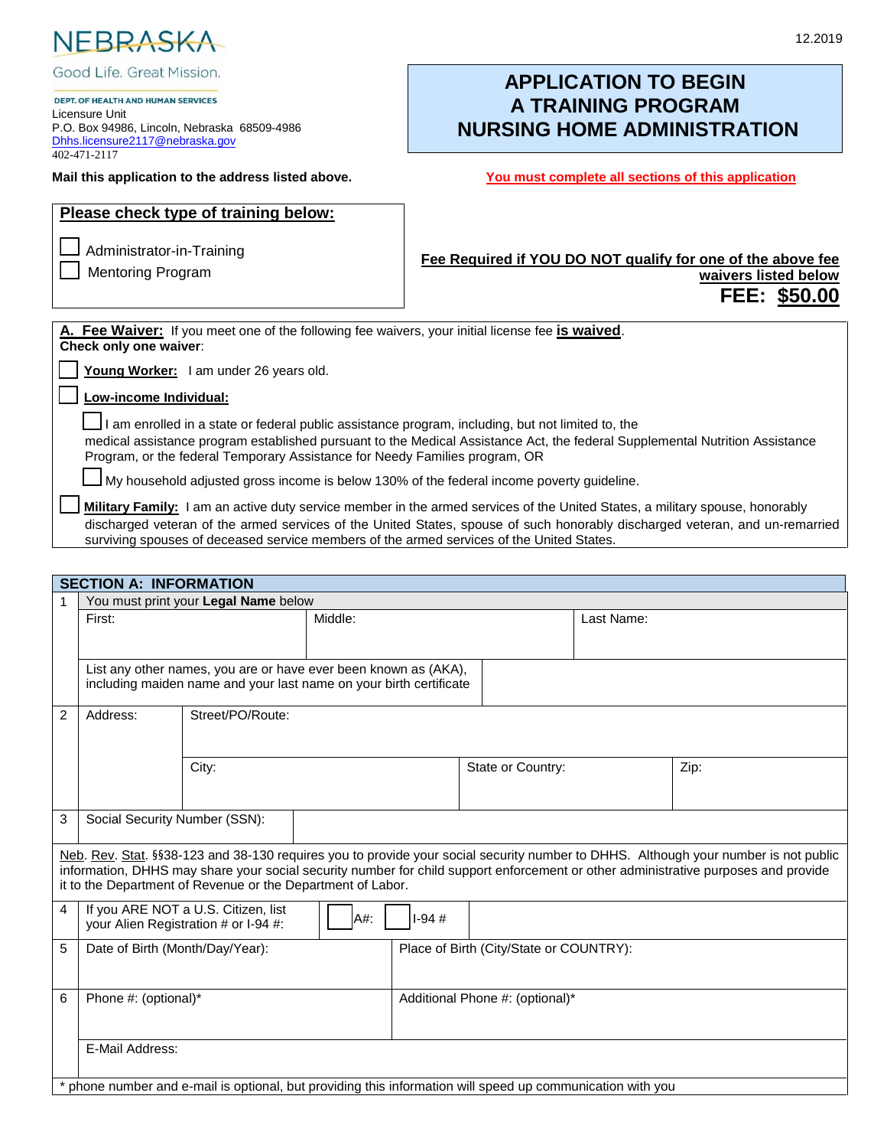

Good Life. Great Mission.

DEPT. OF HEALTH AND HUMAN SERVICES Licensure Unit P.O. Box 94986, Lincoln, Nebraska 68509-4986 [Dhhs.licensure2117@nebraska.gov](mailto:Dhhs.licensure2117@nebraska.gov) 402-471-2117

#### **Mail this application to the address listed above. You must complete all sections of this application**

# **APPLICATION TO BEGIN A TRAINING PROGRAM NURSING HOME ADMINISTRATION**

| Please check type of training below:<br>Administrator-in-Training<br><b>Mentoring Program</b>                              | Fee Required if YOU DO NOT qualify for one of the above fee<br>waivers listed below<br>FEE: \$50.00 |
|----------------------------------------------------------------------------------------------------------------------------|-----------------------------------------------------------------------------------------------------|
| A. Fee Waiver: If you meet one of the following fee waivers, your initial license fee is waived.<br>Check only one waiver: |                                                                                                     |
| Young Worker: I am under 26 years old.                                                                                     |                                                                                                     |
| Low-income Individual:                                                                                                     |                                                                                                     |

□ I am enrolled in a state or federal public assistance program, including, but not limited to, the medical assistance program established pursuant to the Medical Assistance Act, the federal Supplemental Nutrition Assistance Program, or the federal Temporary Assistance for Needy Families program, OR

 $\bigsqcup$  My household adjusted gross income is below 130% of the federal income poverty guideline.

Military Family: I am an active duty service member in the armed services of the United States, a military spouse, honorably discharged veteran of the armed services of the United States, spouse of such honorably discharged veteran, and un-remarried surviving spouses of deceased service members of the armed services of the United States.

|   | <b>SECTION A: INFORMATION</b>                                                                            |                                                                                                                                       |         |         |                                         |                   |  |                                                                                                                                                                                                                                                                           |
|---|----------------------------------------------------------------------------------------------------------|---------------------------------------------------------------------------------------------------------------------------------------|---------|---------|-----------------------------------------|-------------------|--|---------------------------------------------------------------------------------------------------------------------------------------------------------------------------------------------------------------------------------------------------------------------------|
|   |                                                                                                          | You must print your Legal Name below                                                                                                  |         |         |                                         |                   |  |                                                                                                                                                                                                                                                                           |
|   | First:                                                                                                   |                                                                                                                                       | Middle: |         |                                         | Last Name:        |  |                                                                                                                                                                                                                                                                           |
|   |                                                                                                          |                                                                                                                                       |         |         |                                         |                   |  |                                                                                                                                                                                                                                                                           |
|   |                                                                                                          | List any other names, you are or have ever been known as (AKA),<br>including maiden name and your last name on your birth certificate |         |         |                                         |                   |  |                                                                                                                                                                                                                                                                           |
| 2 | Address:                                                                                                 | Street/PO/Route:                                                                                                                      |         |         |                                         |                   |  |                                                                                                                                                                                                                                                                           |
|   | City:                                                                                                    |                                                                                                                                       |         |         |                                         | State or Country: |  | Zip:                                                                                                                                                                                                                                                                      |
| 3 | Social Security Number (SSN):                                                                            |                                                                                                                                       |         |         |                                         |                   |  |                                                                                                                                                                                                                                                                           |
|   |                                                                                                          | it to the Department of Revenue or the Department of Labor.                                                                           |         |         |                                         |                   |  | Neb. Rev. Stat. §§38-123 and 38-130 requires you to provide your social security number to DHHS. Although your number is not public<br>information, DHHS may share your social security number for child support enforcement or other administrative purposes and provide |
| 4 |                                                                                                          | If you ARE NOT a U.S. Citizen, list<br>your Alien Registration # or I-94 #:                                                           | A#:     | $1-94#$ |                                         |                   |  |                                                                                                                                                                                                                                                                           |
| 5 | Date of Birth (Month/Day/Year):                                                                          |                                                                                                                                       |         |         | Place of Birth (City/State or COUNTRY): |                   |  |                                                                                                                                                                                                                                                                           |
| 6 | Phone #: (optional)*                                                                                     |                                                                                                                                       |         |         | Additional Phone #: (optional)*         |                   |  |                                                                                                                                                                                                                                                                           |
|   | E-Mail Address:                                                                                          |                                                                                                                                       |         |         |                                         |                   |  |                                                                                                                                                                                                                                                                           |
|   | phone number and e-mail is optional, but providing this information will speed up communication with you |                                                                                                                                       |         |         |                                         |                   |  |                                                                                                                                                                                                                                                                           |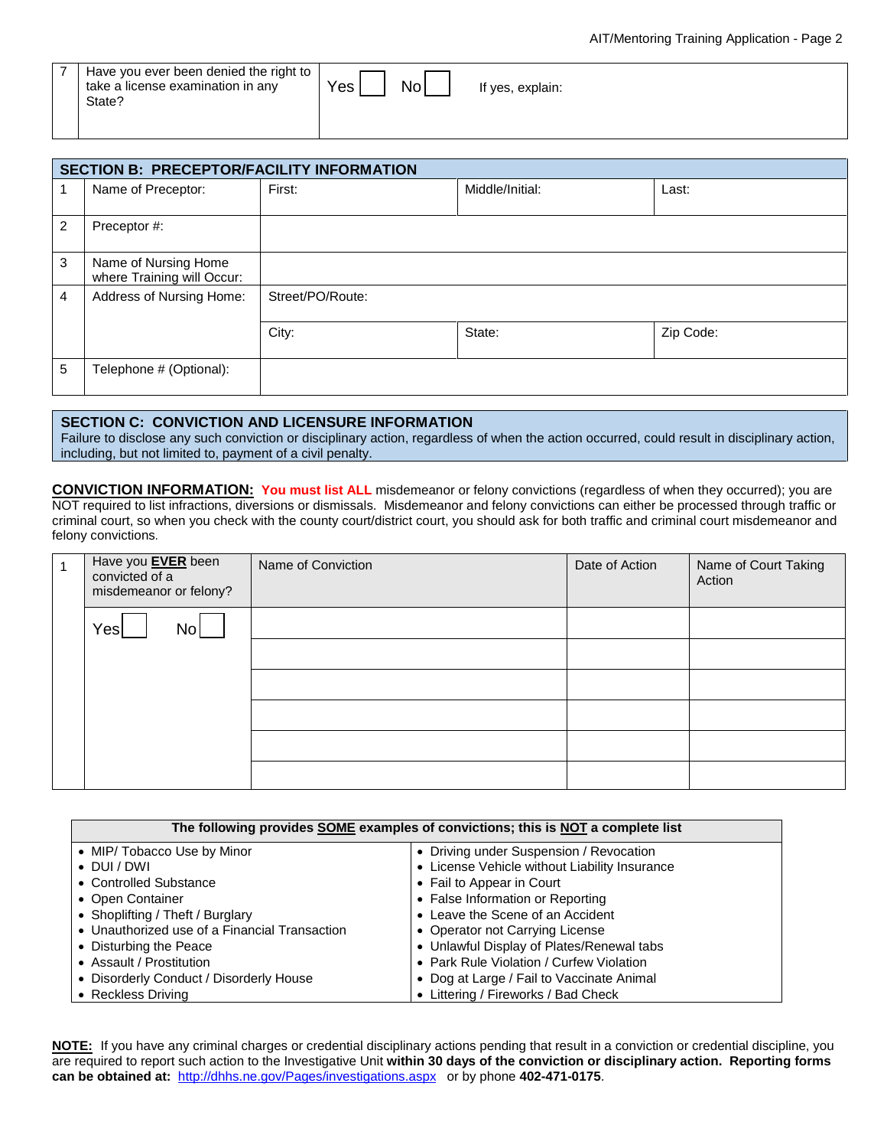|  | Have you ever been denied the right to<br>take a license examination in any<br>State? | Yes<br>NO. | <sup>f</sup> ves, explain: |  |
|--|---------------------------------------------------------------------------------------|------------|----------------------------|--|
|--|---------------------------------------------------------------------------------------|------------|----------------------------|--|

|                | <b>SECTION B: PRECEPTOR/FACILITY INFORMATION</b>   |                  |                 |           |  |  |
|----------------|----------------------------------------------------|------------------|-----------------|-----------|--|--|
|                | Name of Preceptor:                                 | First:           | Middle/Initial: | Last:     |  |  |
| $\overline{2}$ | Preceptor #:                                       |                  |                 |           |  |  |
| 3              | Name of Nursing Home<br>where Training will Occur: |                  |                 |           |  |  |
| $\overline{4}$ | Address of Nursing Home:                           | Street/PO/Route: |                 |           |  |  |
|                |                                                    | City:            | State:          | Zip Code: |  |  |
| 5              | Telephone # (Optional):                            |                  |                 |           |  |  |

#### **SECTION C: CONVICTION AND LICENSURE INFORMATION**

Failure to disclose any such conviction or disciplinary action, regardless of when the action occurred, could result in disciplinary action, including, but not limited to, payment of a civil penalty.

**CONVICTION INFORMATION: You must list ALL** misdemeanor or felony convictions (regardless of when they occurred); you are NOT required to list infractions, diversions or dismissals. Misdemeanor and felony convictions can either be processed through traffic or criminal court, so when you check with the county court/district court, you should ask for both traffic and criminal court misdemeanor and felony convictions.

|  | Have you <b>EVER</b> been<br>convicted of a<br>misdemeanor or felony? | Name of Conviction | Date of Action | Name of Court Taking<br>Action |
|--|-----------------------------------------------------------------------|--------------------|----------------|--------------------------------|
|  | Yes<br>No                                                             |                    |                |                                |
|  |                                                                       |                    |                |                                |
|  |                                                                       |                    |                |                                |
|  |                                                                       |                    |                |                                |
|  |                                                                       |                    |                |                                |
|  |                                                                       |                    |                |                                |

| The following provides SOME examples of convictions; this is NOT a complete list |                                               |  |  |  |
|----------------------------------------------------------------------------------|-----------------------------------------------|--|--|--|
| • MIP/ Tobacco Use by Minor                                                      | • Driving under Suspension / Revocation       |  |  |  |
| $\bullet$ DUI/DWI                                                                | • License Vehicle without Liability Insurance |  |  |  |
| • Controlled Substance                                                           | • Fail to Appear in Court                     |  |  |  |
| • Open Container                                                                 | • False Information or Reporting              |  |  |  |
| • Shoplifting / Theft / Burglary                                                 | • Leave the Scene of an Accident              |  |  |  |
| • Unauthorized use of a Financial Transaction                                    | • Operator not Carrying License               |  |  |  |
| • Disturbing the Peace                                                           | • Unlawful Display of Plates/Renewal tabs     |  |  |  |
| • Assault / Prostitution                                                         | • Park Rule Violation / Curfew Violation      |  |  |  |
| • Disorderly Conduct / Disorderly House                                          | • Dog at Large / Fail to Vaccinate Animal     |  |  |  |
| • Reckless Driving                                                               | • Littering / Fireworks / Bad Check           |  |  |  |

**NOTE:** If you have any criminal charges or credential disciplinary actions pending that result in a conviction or credential discipline, you are required to report such action to the Investigative Unit **within 30 days of the conviction or disciplinary action. Reporting forms can be obtained at:** <http://dhhs.ne.gov/Pages/investigations.aspx> or by phone **402-471-0175**.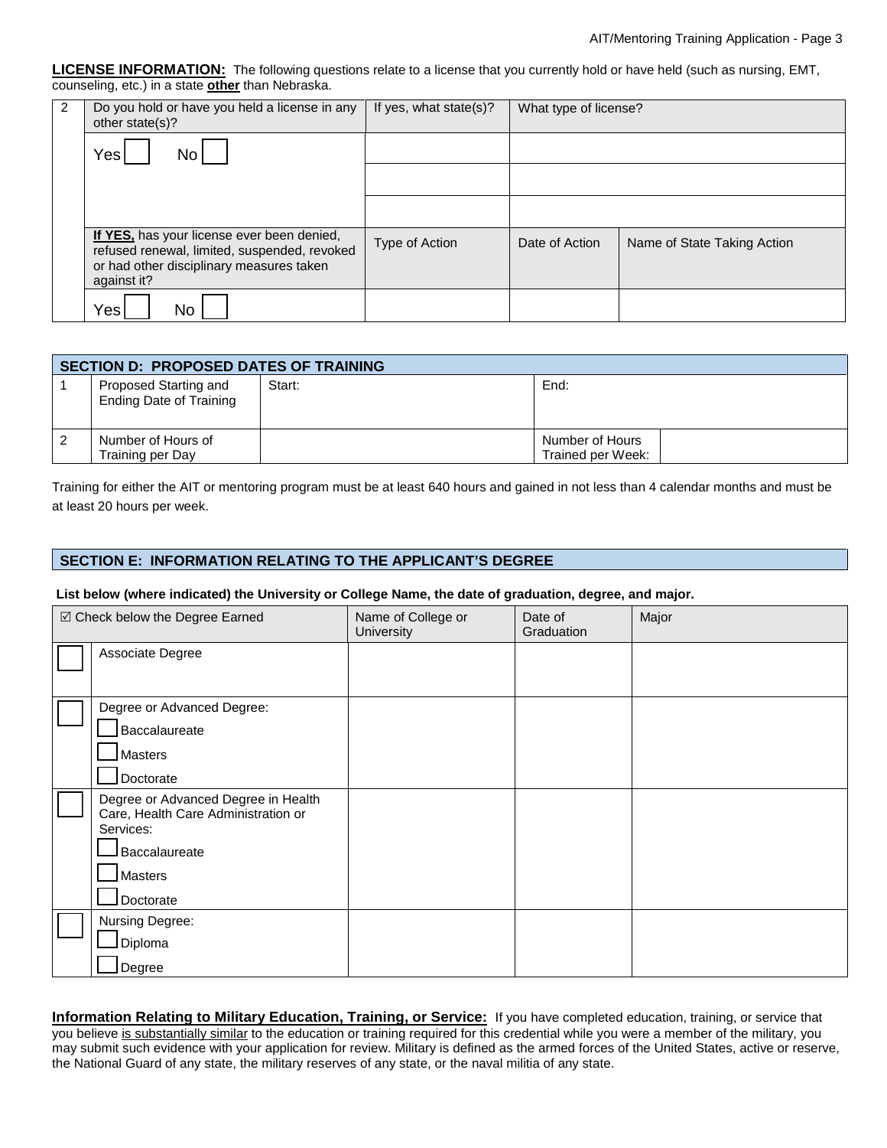**LICENSE INFORMATION:** The following questions relate to a license that you currently hold or have held (such as nursing, EMT, counseling, etc.) in a state **other** than Nebraska.

| 2 | Do you hold or have you held a license in any<br>other state(s)?                                                                                      | If yes, what state(s)? | What type of license? |                             |
|---|-------------------------------------------------------------------------------------------------------------------------------------------------------|------------------------|-----------------------|-----------------------------|
|   | Yes<br>No                                                                                                                                             |                        |                       |                             |
|   |                                                                                                                                                       |                        |                       |                             |
|   |                                                                                                                                                       |                        |                       |                             |
|   | If YES, has your license ever been denied,<br>refused renewal, limited, suspended, revoked<br>or had other disciplinary measures taken<br>against it? | Type of Action         | Date of Action        | Name of State Taking Action |
|   | Yes<br>No                                                                                                                                             |                        |                       |                             |

| <b>SECTION D: PROPOSED DATES OF TRAINING</b>            |        |                                      |  |  |  |
|---------------------------------------------------------|--------|--------------------------------------|--|--|--|
| Proposed Starting and<br><b>Ending Date of Training</b> | Start: | End:                                 |  |  |  |
| Number of Hours of<br>Training per Day                  |        | Number of Hours<br>Trained per Week: |  |  |  |

Training for either the AIT or mentoring program must be at least 640 hours and gained in not less than 4 calendar months and must be at least 20 hours per week.

## **SECTION E: INFORMATION RELATING TO THE APPLICANT'S DEGREE**

#### **List below (where indicated) the University or College Name, the date of graduation, degree, and major.**

| ☑ Check below the Degree Earned                                                         | Name of College or<br>University | Date of<br>Graduation | Major |
|-----------------------------------------------------------------------------------------|----------------------------------|-----------------------|-------|
| Associate Degree                                                                        |                                  |                       |       |
|                                                                                         |                                  |                       |       |
| Degree or Advanced Degree:                                                              |                                  |                       |       |
| Baccalaureate                                                                           |                                  |                       |       |
| <b>Masters</b>                                                                          |                                  |                       |       |
| Doctorate                                                                               |                                  |                       |       |
| Degree or Advanced Degree in Health<br>Care, Health Care Administration or<br>Services: |                                  |                       |       |
| Baccalaureate                                                                           |                                  |                       |       |
| <b>Masters</b>                                                                          |                                  |                       |       |
| Doctorate                                                                               |                                  |                       |       |
| Nursing Degree:                                                                         |                                  |                       |       |
| Diploma                                                                                 |                                  |                       |       |
| Degree                                                                                  |                                  |                       |       |

**Information Relating to Military Education, Training, or Service:** If you have completed education, training, or service that you believe is substantially similar to the education or training required for this credential while you were a member of the military, you may submit such evidence with your application for review. Military is defined as the armed forces of the United States, active or reserve, the National Guard of any state, the military reserves of any state, or the naval militia of any state.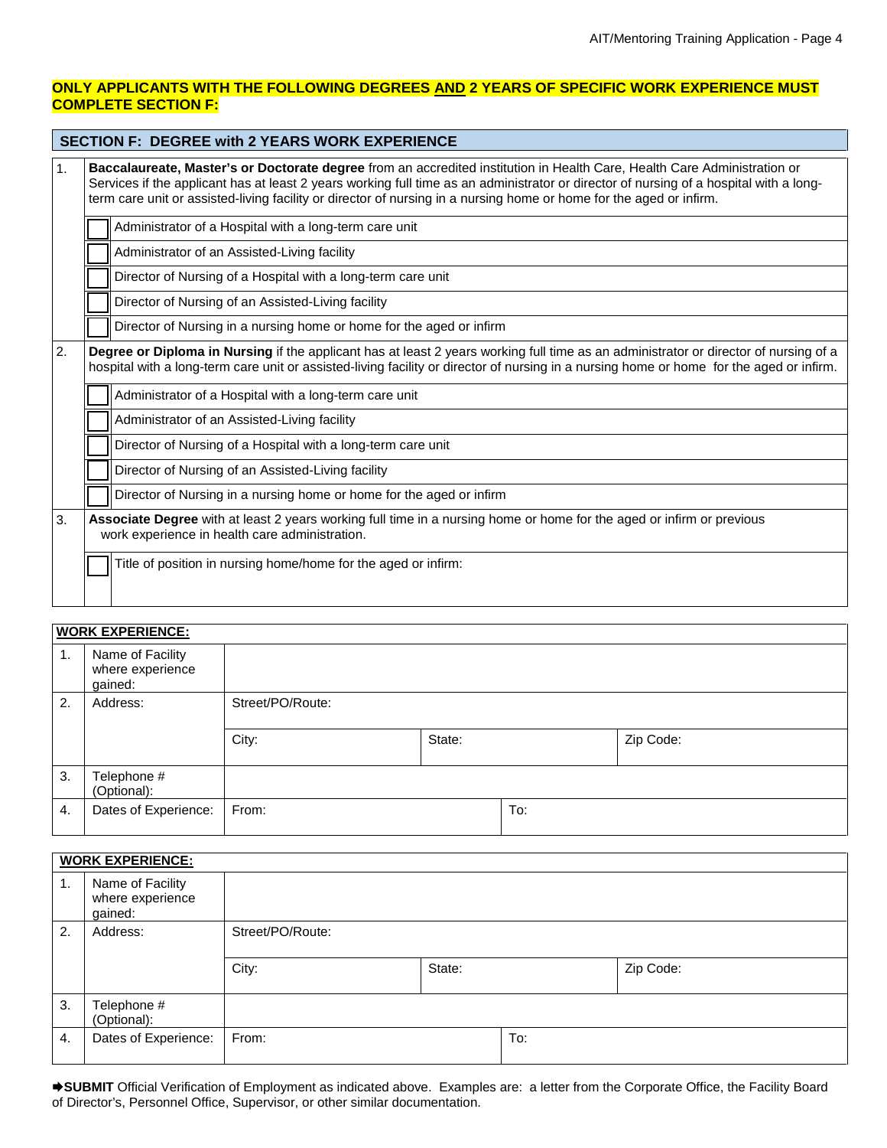# **ONLY APPLICANTS WITH THE FOLLOWING DEGREES AND 2 YEARS OF SPECIFIC WORK EXPERIENCE MUST COMPLETE SECTION F:**

|                                                                                                                                                                                                                                                                                        | <b>SECTION F: DEGREE with 2 YEARS WORK EXPERIENCE</b>                                                                                                                                                                                                                                                                                                                                     |  |  |  |
|----------------------------------------------------------------------------------------------------------------------------------------------------------------------------------------------------------------------------------------------------------------------------------------|-------------------------------------------------------------------------------------------------------------------------------------------------------------------------------------------------------------------------------------------------------------------------------------------------------------------------------------------------------------------------------------------|--|--|--|
| 1.                                                                                                                                                                                                                                                                                     | Baccalaureate, Master's or Doctorate degree from an accredited institution in Health Care, Health Care Administration or<br>Services if the applicant has at least 2 years working full time as an administrator or director of nursing of a hospital with a long-<br>term care unit or assisted-living facility or director of nursing in a nursing home or home for the aged or infirm. |  |  |  |
|                                                                                                                                                                                                                                                                                        | Administrator of a Hospital with a long-term care unit                                                                                                                                                                                                                                                                                                                                    |  |  |  |
|                                                                                                                                                                                                                                                                                        | Administrator of an Assisted-Living facility                                                                                                                                                                                                                                                                                                                                              |  |  |  |
|                                                                                                                                                                                                                                                                                        | Director of Nursing of a Hospital with a long-term care unit                                                                                                                                                                                                                                                                                                                              |  |  |  |
|                                                                                                                                                                                                                                                                                        | Director of Nursing of an Assisted-Living facility                                                                                                                                                                                                                                                                                                                                        |  |  |  |
|                                                                                                                                                                                                                                                                                        | Director of Nursing in a nursing home or home for the aged or infirm                                                                                                                                                                                                                                                                                                                      |  |  |  |
| 2.<br>Degree or Diploma in Nursing if the applicant has at least 2 years working full time as an administrator or director of nursing of a<br>hospital with a long-term care unit or assisted-living facility or director of nursing in a nursing home or home for the aged or infirm. |                                                                                                                                                                                                                                                                                                                                                                                           |  |  |  |
|                                                                                                                                                                                                                                                                                        | Administrator of a Hospital with a long-term care unit                                                                                                                                                                                                                                                                                                                                    |  |  |  |
|                                                                                                                                                                                                                                                                                        | Administrator of an Assisted-Living facility                                                                                                                                                                                                                                                                                                                                              |  |  |  |
|                                                                                                                                                                                                                                                                                        | Director of Nursing of a Hospital with a long-term care unit                                                                                                                                                                                                                                                                                                                              |  |  |  |
|                                                                                                                                                                                                                                                                                        | Director of Nursing of an Assisted-Living facility                                                                                                                                                                                                                                                                                                                                        |  |  |  |
|                                                                                                                                                                                                                                                                                        | Director of Nursing in a nursing home or home for the aged or infirm                                                                                                                                                                                                                                                                                                                      |  |  |  |
| 3.                                                                                                                                                                                                                                                                                     | Associate Degree with at least 2 years working full time in a nursing home or home for the aged or infirm or previous<br>work experience in health care administration.                                                                                                                                                                                                                   |  |  |  |
|                                                                                                                                                                                                                                                                                        | Title of position in nursing home/home for the aged or infirm:                                                                                                                                                                                                                                                                                                                            |  |  |  |

# **WORK EXPERIENCE:** 1. Name of Facility where experience gained: 2. Address: Street/PO/Route: City: City: City: City: City: City: City: City: City: 2ip Code: 3. Telephone # (Optional): 4. Dates of Experience: From: To: To:

|    | <b>WORK EXPERIENCE:</b>                         |                  |        |     |           |  |  |
|----|-------------------------------------------------|------------------|--------|-----|-----------|--|--|
| 1. | Name of Facility<br>where experience<br>gained: |                  |        |     |           |  |  |
| 2. | Address:                                        | Street/PO/Route: |        |     |           |  |  |
|    |                                                 | City:            | State: |     | Zip Code: |  |  |
| 3. | Telephone #<br>(Optional):                      |                  |        |     |           |  |  |
| 4. | Dates of Experience:                            | From:            |        | To: |           |  |  |

**SUBMIT** Official Verification of Employment as indicated above. Examples are: a letter from the Corporate Office, the Facility Board of Director's, Personnel Office, Supervisor, or other similar documentation.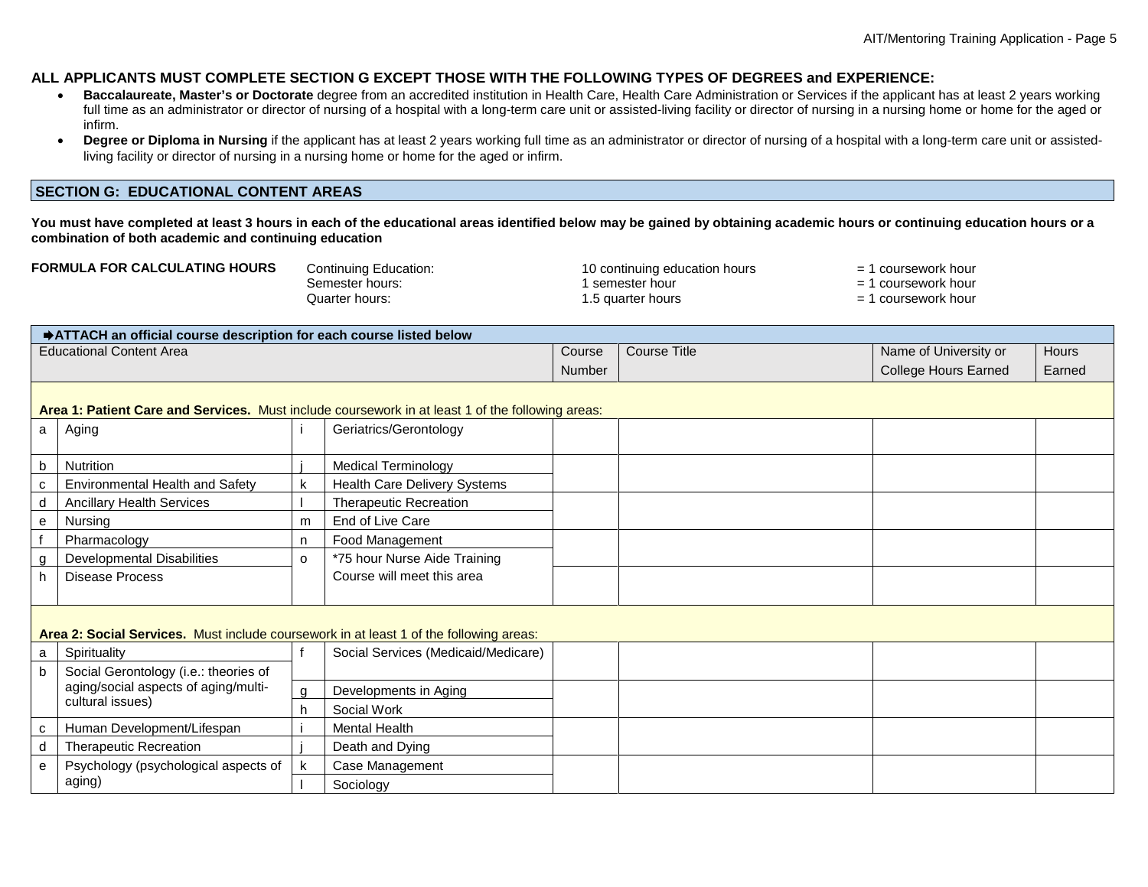### **ALL APPLICANTS MUST COMPLETE SECTION G EXCEPT THOSE WITH THE FOLLOWING TYPES OF DEGREES and EXPERIENCE:**

- **Baccalaureate, Master's or Doctorate** degree from an accredited institution in Health Care, Health Care Administration or Services if the applicant has at least 2 years working full time as an administrator or director of nursing of a hospital with a long-term care unit or assisted-living facility or director of nursing in a nursing home or home for the aged or infirm.
- Degree or Diploma in Nursing if the applicant has at least 2 years working full time as an administrator or director of nursing of a hospital with a long-term care unit or assistedliving facility or director of nursing in a nursing home or home for the aged or infirm.

#### **SECTION G: EDUCATIONAL CONTENT AREAS**

**You must have completed at least 3 hours in each of the educational areas identified below may be gained by obtaining academic hours or continuing education hours or a combination of both academic and continuing education**

| <b>FORMULA FOR CALCULATING HOURS</b> | Continuing Education: | 10 continuing education hours | $=$ 1 coursework hour |
|--------------------------------------|-----------------------|-------------------------------|-----------------------|
|                                      | Semester hours:       | semester hour                 | = 1 coursework hour   |
|                                      | Quarter hours:        | ∴5 quarter hours              | $=$ 1 coursework hour |

| → ATTACH an official course description for each course listed below |        |              |                       |        |  |
|----------------------------------------------------------------------|--------|--------------|-----------------------|--------|--|
| <b>Educational Content Area</b>                                      | Course | Course Title | Name of University or | Hours  |  |
|                                                                      | Number |              | College Hours Earned  | Earned |  |
|                                                                      |        |              |                       |        |  |

# **Area 1: Patient Care and Services.** Must include coursework in at least 1 of the following areas:

| a | Aging                                                                                  |          | Geriatrics/Gerontology              |  |  |
|---|----------------------------------------------------------------------------------------|----------|-------------------------------------|--|--|
|   | Nutrition                                                                              |          | <b>Medical Terminology</b>          |  |  |
|   | Environmental Health and Safety                                                        |          | Health Care Delivery Systems        |  |  |
|   | <b>Ancillary Health Services</b>                                                       |          | <b>Therapeutic Recreation</b>       |  |  |
| е | Nursing                                                                                | m        | End of Live Care                    |  |  |
|   | Pharmacology                                                                           | n        | Food Management                     |  |  |
|   | <b>Developmental Disabilities</b>                                                      | $\Omega$ | *75 hour Nurse Aide Training        |  |  |
|   | Disease Process                                                                        |          | Course will meet this area          |  |  |
|   |                                                                                        |          |                                     |  |  |
|   | Area 2: Social Services. Must include coursework in at least 1 of the following areas: |          |                                     |  |  |
| a | Spirituality                                                                           |          | Social Services (Medicaid/Medicare) |  |  |
|   | Social Gerontology (i.e.: theories of                                                  |          |                                     |  |  |
|   | aging/social aspects of aging/multi-                                                   | g        | Developments in Aging               |  |  |
|   | cultural issues)                                                                       | h        | Social Work                         |  |  |
|   | Human Development/Lifespan                                                             |          | Mental Health                       |  |  |
|   | <b>Therapeutic Recreation</b>                                                          |          | Death and Dying                     |  |  |
| е | Psychology (psychological aspects of                                                   |          | Case Management                     |  |  |
|   |                                                                                        |          |                                     |  |  |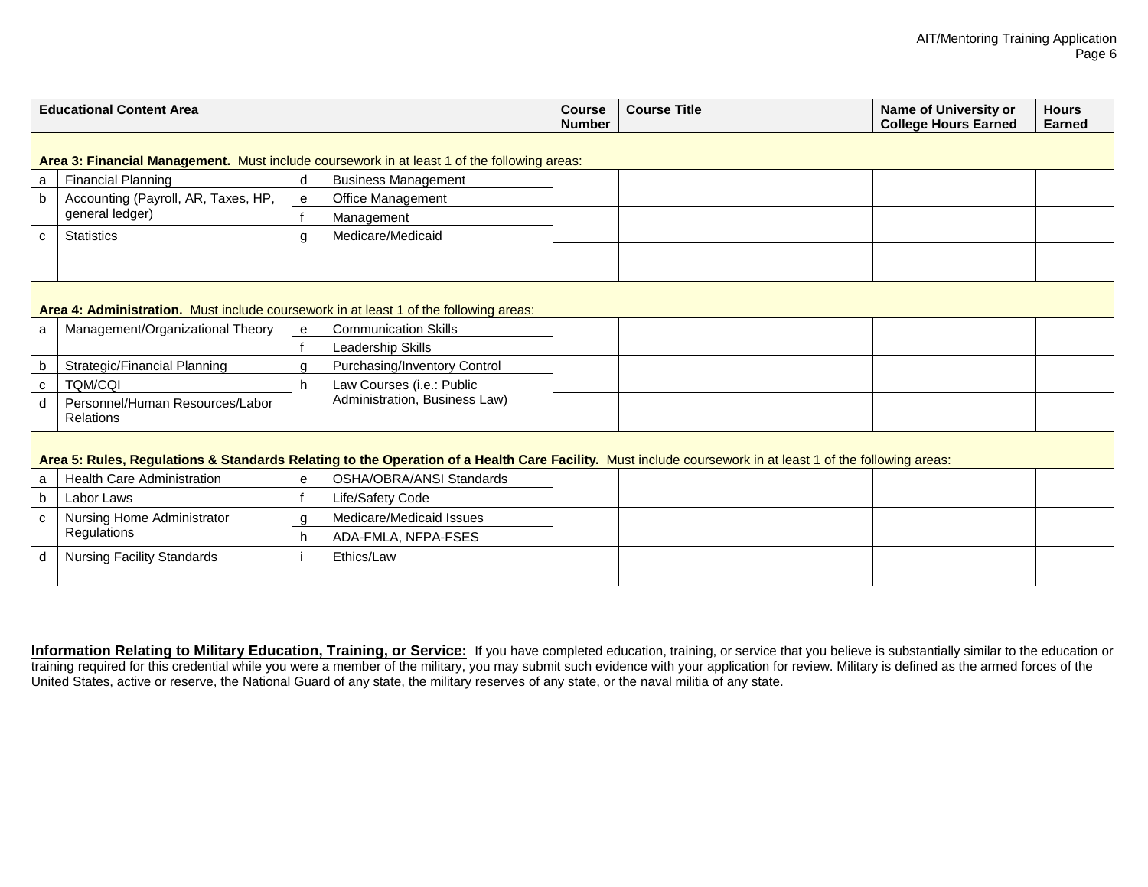| <b>Educational Content Area</b>                                                                                                                           |                                                                                             |    | <b>Course</b><br><b>Number</b>  | <b>Course Title</b> | <b>Name of University or</b><br><b>College Hours Earned</b> | <b>Hours</b><br><b>Earned</b> |  |  |
|-----------------------------------------------------------------------------------------------------------------------------------------------------------|---------------------------------------------------------------------------------------------|----|---------------------------------|---------------------|-------------------------------------------------------------|-------------------------------|--|--|
|                                                                                                                                                           | Area 3: Financial Management. Must include coursework in at least 1 of the following areas: |    |                                 |                     |                                                             |                               |  |  |
| a                                                                                                                                                         | <b>Financial Planning</b>                                                                   | d  | <b>Business Management</b>      |                     |                                                             |                               |  |  |
| b                                                                                                                                                         | Accounting (Payroll, AR, Taxes, HP,                                                         | e  | Office Management               |                     |                                                             |                               |  |  |
|                                                                                                                                                           | general ledger)                                                                             |    | Management                      |                     |                                                             |                               |  |  |
| $\mathbf c$                                                                                                                                               | <b>Statistics</b>                                                                           | g  | Medicare/Medicaid               |                     |                                                             |                               |  |  |
|                                                                                                                                                           |                                                                                             |    |                                 |                     |                                                             |                               |  |  |
|                                                                                                                                                           |                                                                                             |    |                                 |                     |                                                             |                               |  |  |
|                                                                                                                                                           | Area 4: Administration. Must include coursework in at least 1 of the following areas:       |    |                                 |                     |                                                             |                               |  |  |
| a                                                                                                                                                         | Management/Organizational Theory                                                            | e  | <b>Communication Skills</b>     |                     |                                                             |                               |  |  |
|                                                                                                                                                           |                                                                                             |    | Leadership Skills               |                     |                                                             |                               |  |  |
| b                                                                                                                                                         | Strategic/Financial Planning                                                                | a  | Purchasing/Inventory Control    |                     |                                                             |                               |  |  |
| $\mathbf c$                                                                                                                                               | <b>TOM/COI</b>                                                                              | h  | Law Courses (i.e.: Public       |                     |                                                             |                               |  |  |
| d                                                                                                                                                         | Personnel/Human Resources/Labor<br><b>Relations</b>                                         |    | Administration, Business Law)   |                     |                                                             |                               |  |  |
| Area 5: Rules, Regulations & Standards Relating to the Operation of a Health Care Facility. Must include coursework in at least 1 of the following areas: |                                                                                             |    |                                 |                     |                                                             |                               |  |  |
| a                                                                                                                                                         | <b>Health Care Administration</b>                                                           | e  | <b>OSHA/OBRA/ANSI Standards</b> |                     |                                                             |                               |  |  |
| $\mathbf b$                                                                                                                                               | Labor Laws                                                                                  |    | Life/Safety Code                |                     |                                                             |                               |  |  |
| C                                                                                                                                                         | Nursing Home Administrator<br>Regulations                                                   | g  | Medicare/Medicaid Issues        |                     |                                                             |                               |  |  |
|                                                                                                                                                           |                                                                                             | h. | ADA-FMLA, NFPA-FSES             |                     |                                                             |                               |  |  |
| d                                                                                                                                                         | <b>Nursing Facility Standards</b>                                                           |    | Ethics/Law                      |                     |                                                             |                               |  |  |

**Information Relating to Military Education, Training, or Service:** If you have completed education, training, or service that you believe <u>is substantially similar</u> to the education or training required for this credential while you were a member of the military, you may submit such evidence with your application for review. Military is defined as the armed forces of the United States, active or reserve, the National Guard of any state, the military reserves of any state, or the naval militia of any state.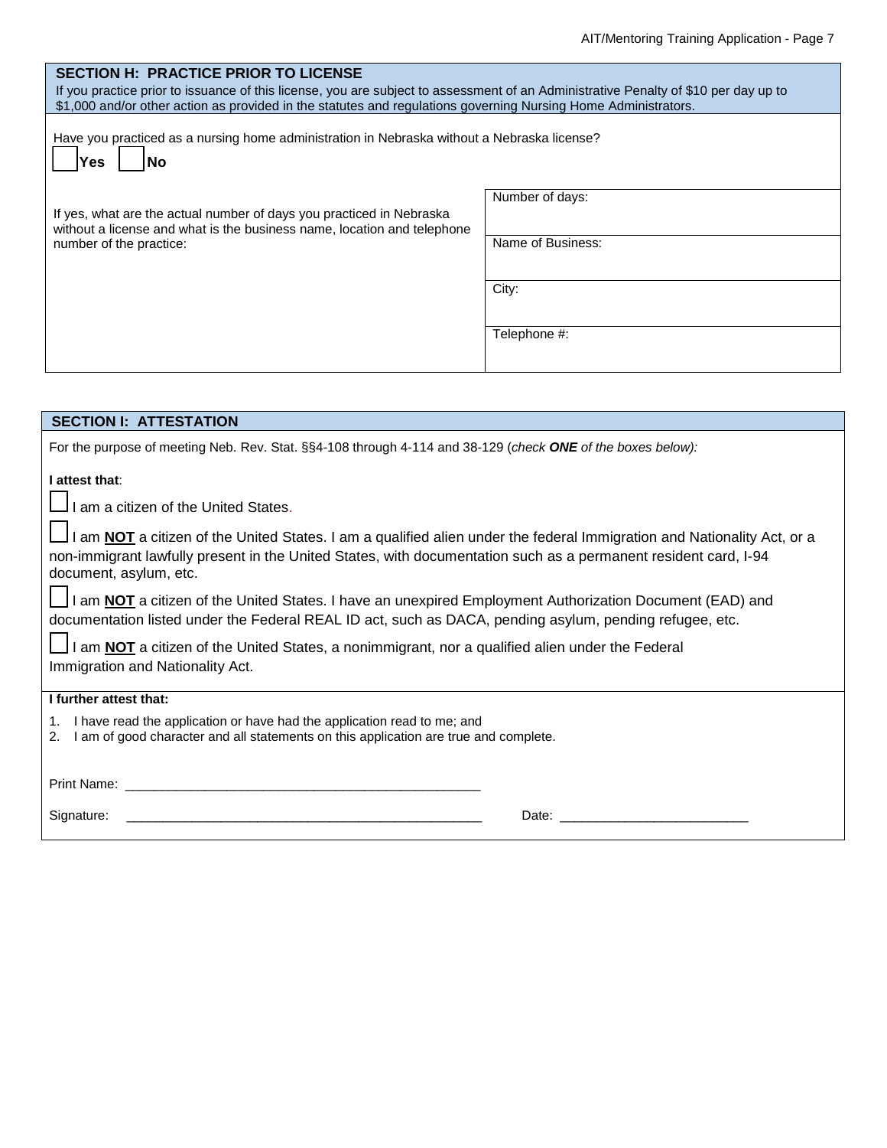| <b>SECTION H: PRACTICE PRIOR TO LICENSE</b>                                                                                                                                                                                                           |                   |  |  |  |  |
|-------------------------------------------------------------------------------------------------------------------------------------------------------------------------------------------------------------------------------------------------------|-------------------|--|--|--|--|
| If you practice prior to issuance of this license, you are subject to assessment of an Administrative Penalty of \$10 per day up to<br>\$1,000 and/or other action as provided in the statutes and regulations governing Nursing Home Administrators. |                   |  |  |  |  |
| Have you practiced as a nursing home administration in Nebraska without a Nebraska license?<br>Yes<br><b>No</b>                                                                                                                                       |                   |  |  |  |  |
| If yes, what are the actual number of days you practiced in Nebraska<br>without a license and what is the business name, location and telephone                                                                                                       | Number of days:   |  |  |  |  |
| number of the practice:                                                                                                                                                                                                                               | Name of Business: |  |  |  |  |
|                                                                                                                                                                                                                                                       | City:             |  |  |  |  |
|                                                                                                                                                                                                                                                       | Telephone #:      |  |  |  |  |

| <b>SECTION I: ATTESTATION</b>                                                                                                                                                                                                                |
|----------------------------------------------------------------------------------------------------------------------------------------------------------------------------------------------------------------------------------------------|
| For the purpose of meeting Neb. Rev. Stat. §§4-108 through 4-114 and 38-129 (check ONE of the boxes below):                                                                                                                                  |
| I attest that:                                                                                                                                                                                                                               |
| I am a citizen of the United States.                                                                                                                                                                                                         |
| I am NOT a citizen of the United States. I am a qualified alien under the federal Immigration and Nationality Act, or a                                                                                                                      |
| non-immigrant lawfully present in the United States, with documentation such as a permanent resident card, I-94<br>document, asylum, etc.                                                                                                    |
| I am NOT a citizen of the United States. I have an unexpired Employment Authorization Document (EAD) and                                                                                                                                     |
| documentation listed under the Federal REAL ID act, such as DACA, pending asylum, pending refugee, etc.                                                                                                                                      |
| I am NOT a citizen of the United States, a nonimmigrant, nor a qualified alien under the Federal                                                                                                                                             |
| Immigration and Nationality Act.                                                                                                                                                                                                             |
| I further attest that:                                                                                                                                                                                                                       |
| I have read the application or have had the application read to me; and<br>1.<br>I am of good character and all statements on this application are true and complete.<br>2.                                                                  |
|                                                                                                                                                                                                                                              |
| Date: the contract of the contract of the contract of the contract of the contract of the contract of the contract of the contract of the contract of the contract of the contract of the contract of the contract of the cont<br>Signature: |